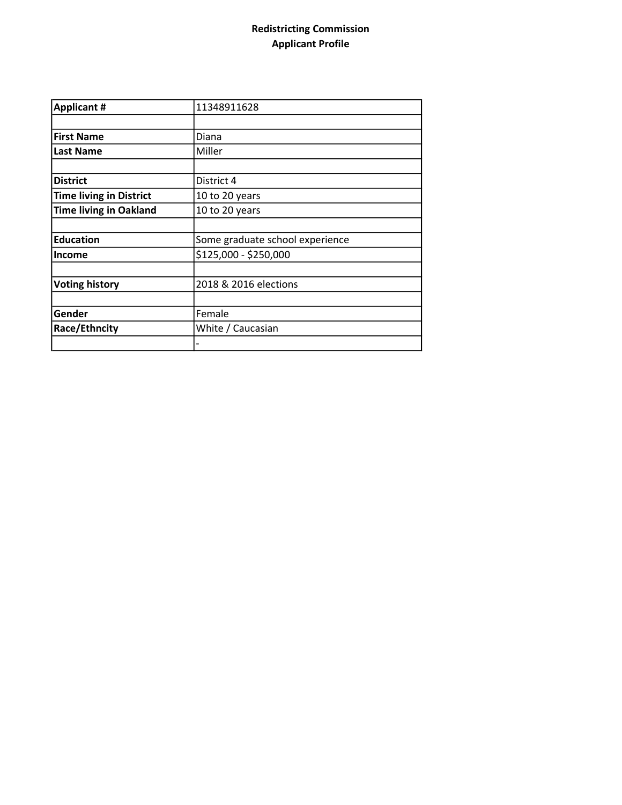## Redistricting Commission Applicant Profile

| <b>Applicant #</b>             | 11348911628                     |
|--------------------------------|---------------------------------|
|                                |                                 |
| <b>First Name</b>              | Diana                           |
| <b>Last Name</b>               | Miller                          |
|                                |                                 |
| <b>District</b>                | District 4                      |
| <b>Time living in District</b> | 10 to 20 years                  |
| <b>Time living in Oakland</b>  | 10 to 20 years                  |
|                                |                                 |
| <b>Education</b>               | Some graduate school experience |
| <b>Income</b>                  | \$125,000 - \$250,000           |
|                                |                                 |
| <b>Voting history</b>          | 2018 & 2016 elections           |
|                                |                                 |
| Gender                         | Female                          |
| Race/Ethncity                  | White / Caucasian               |
|                                |                                 |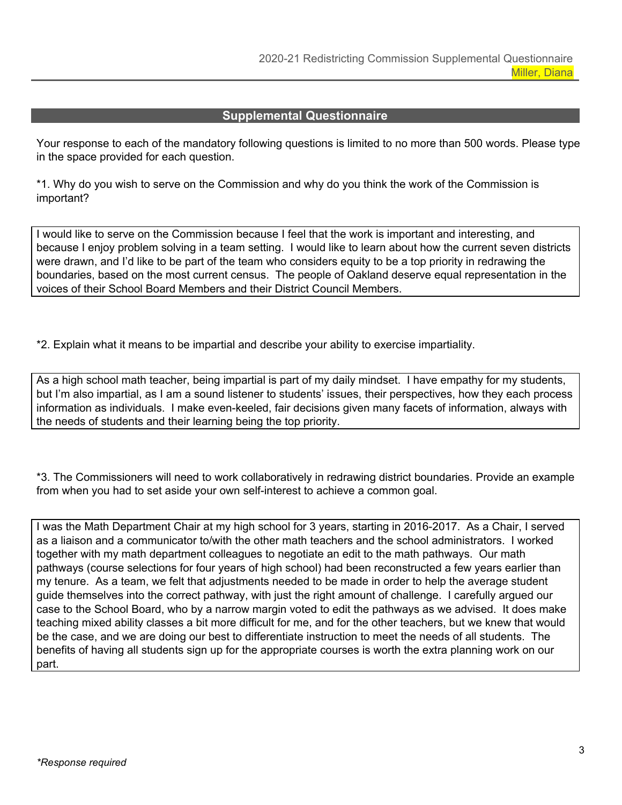## **Supplemental Questionnaire**

Your response to each of the mandatory following questions is limited to no more than 500 words. Please type in the space provided for each question.

\*1. Why do you wish to serve on the Commission and why do you think the work of the Commission is important?

I would like to serve on the Commission because I feel that the work is important and interesting, and because I enjoy problem solving in a team setting. I would like to learn about how the current seven districts were drawn, and I'd like to be part of the team who considers equity to be a top priority in redrawing the boundaries, based on the most current census. The people of Oakland deserve equal representation in the voices of their School Board Members and their District Council Members.

\*2. Explain what it means to be impartial and describe your ability to exercise impartiality.

As a high school math teacher, being impartial is part of my daily mindset. I have empathy for my students, but I'm also impartial, as I am a sound listener to students' issues, their perspectives, how they each process information as individuals. I make even-keeled, fair decisions given many facets of information, always with the needs of students and their learning being the top priority.

\*3. The Commissioners will need to work collaboratively in redrawing district boundaries. Provide an example from when you had to set aside your own self-interest to achieve a common goal.

I was the Math Department Chair at my high school for 3 years, starting in 2016-2017. As a Chair, I served as a liaison and a communicator to/with the other math teachers and the school administrators. I worked together with my math department colleagues to negotiate an edit to the math pathways. Our math pathways (course selections for four years of high school) had been reconstructed a few years earlier than my tenure. As a team, we felt that adjustments needed to be made in order to help the average student guide themselves into the correct pathway, with just the right amount of challenge. I carefully argued our case to the School Board, who by a narrow margin voted to edit the pathways as we advised. It does make teaching mixed ability classes a bit more difficult for me, and for the other teachers, but we knew that would be the case, and we are doing our best to differentiate instruction to meet the needs of all students. The benefits of having all students sign up for the appropriate courses is worth the extra planning work on our part.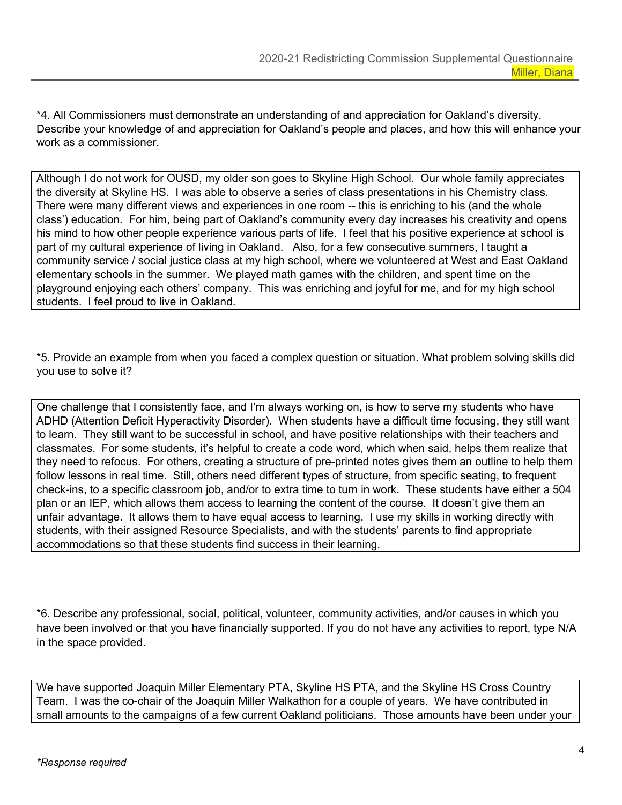\*4. All Commissioners must demonstrate an understanding of and appreciation for Oakland's diversity. Describe your knowledge of and appreciation for Oakland's people and places, and how this will enhance your work as a commissioner.

Although I do not work for OUSD, my older son goes to Skyline High School. Our whole family appreciates the diversity at Skyline HS. I was able to observe a series of class presentations in his Chemistry class. There were many different views and experiences in one room -- this is enriching to his (and the whole class') education. For him, being part of Oakland's community every day increases his creativity and opens his mind to how other people experience various parts of life. I feel that his positive experience at school is part of my cultural experience of living in Oakland. Also, for a few consecutive summers, I taught a community service / social justice class at my high school, where we volunteered at West and East Oakland elementary schools in the summer. We played math games with the children, and spent time on the playground enjoying each others' company. This was enriching and joyful for me, and for my high school students. I feel proud to live in Oakland.

\*5. Provide an example from when you faced a complex question or situation. What problem solving skills did you use to solve it?

One challenge that I consistently face, and I'm always working on, is how to serve my students who have ADHD (Attention Deficit Hyperactivity Disorder). When students have a difficult time focusing, they still want to learn. They still want to be successful in school, and have positive relationships with their teachers and classmates. For some students, it's helpful to create a code word, which when said, helps them realize that they need to refocus. For others, creating a structure of pre-printed notes gives them an outline to help them follow lessons in real time. Still, others need different types of structure, from specific seating, to frequent check-ins, to a specific classroom job, and/or to extra time to turn in work. These students have either a 504 plan or an IEP, which allows them access to learning the content of the course. It doesn't give them an unfair advantage. It allows them to have equal access to learning. I use my skills in working directly with students, with their assigned Resource Specialists, and with the students' parents to find appropriate accommodations so that these students find success in their learning.

\*6. Describe any professional, social, political, volunteer, community activities, and/or causes in which you have been involved or that you have financially supported. If you do not have any activities to report, type N/A in the space provided.

We have supported Joaquin Miller Elementary PTA, Skyline HS PTA, and the Skyline HS Cross Country Team. I was the co-chair of the Joaquin Miller Walkathon for a couple of years. We have contributed in small amounts to the campaigns of a few current Oakland politicians. Those amounts have been under your